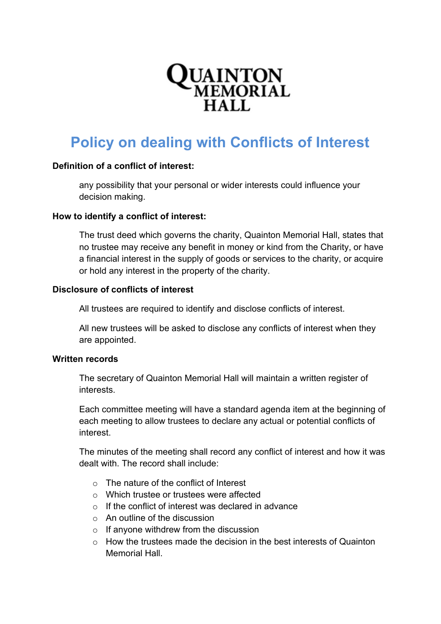# **QUAINTON**<br>MEMORIAL  $HAI.$

# **Policy on dealing with Conflicts of Interest**

# **Definition of a conflict of interest:**

any possibility that your personal or wider interests could influence your decision making.

#### **How to identify a conflict of interest:**

The trust deed which governs the charity, Quainton Memorial Hall, states that no trustee may receive any benefit in money or kind from the Charity, or have a financial interest in the supply of goods or services to the charity, or acquire or hold any interest in the property of the charity.

#### **Disclosure of conflicts of interest**

All trustees are required to identify and disclose conflicts of interest.

All new trustees will be asked to disclose any conflicts of interest when they are appointed.

#### **Written records**

The secretary of Quainton Memorial Hall will maintain a written register of interests.

Each committee meeting will have a standard agenda item at the beginning of each meeting to allow trustees to declare any actual or potential conflicts of interest.

The minutes of the meeting shall record any conflict of interest and how it was dealt with. The record shall include:

- $\circ$  The nature of the conflict of Interest
- o Which trustee or trustees were affected
- o If the conflict of interest was declared in advance
- $\circ$  An outline of the discussion
- $\circ$  If anyone withdrew from the discussion
- $\circ$  How the trustees made the decision in the best interests of Quainton Memorial Hall.